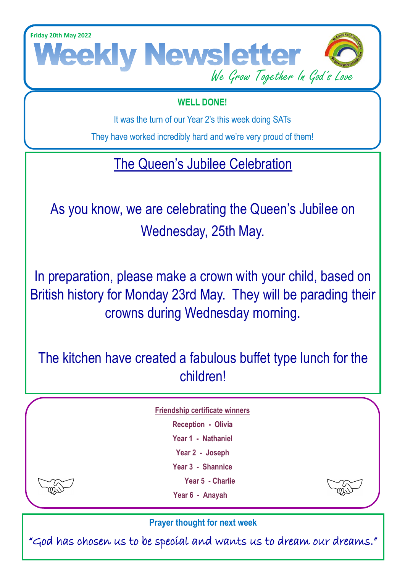**Friday 20th May 2022**



### **WELL DONE!**

It was the turn of our Year 2's this week doing SATs

They have worked incredibly hard and we're very proud of them!

# The Queen's Jubilee Celebration

As you know, we are celebrating the Queen's Jubilee on Wednesday, 25th May.

In preparation, please make a crown with your child, based on British history for Monday 23rd May. They will be parading their crowns during Wednesday morning.

The kitchen have created a fabulous buffet type lunch for the children!

**Friendship certificate winners** 

- **Reception Olivia**
	- **Year 1 Nathaniel**
	- **Year 2 Joseph**

**Year 3 - Shannice**

**Year 5 - Charlie**

**Year 6 - Anayah**



**Prayer thought for next week**

"God has chosen us to be special and wants us to dream our dreams."